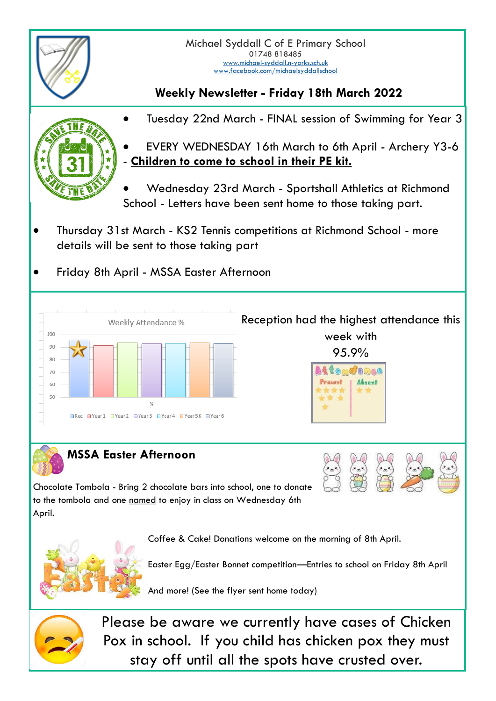

## **Weekly Newsletter - Friday 18th March 2022**



• Tuesday 22nd March - FINAL session of Swimming for Year 3

• EVERY WEDNESDAY 16th March to 6th April - Archery Y3-6 Children to come to school in their PE kit.

• Wednesday 23rd March - Sportshall Athletics at Richmond School - Letters have been sent home to those taking part.

- Thursday 31st March KS2 Tennis competitions at Richmond School more details will be sent to those taking part
- Friday 8th April MSSA Easter Afternoon



## **MSSA Easter Afternoon**

Chocolate Tombola - Bring 2 chocolate bars into school, one to donate to the tombola and one named to enjoy in class on Wednesday 6th April.

Coffee & Cake! Donations welcome on the morning of 8th April.



Easter Egg/Easter Bonnet competition—Entries to school on Friday 8th April

And more! (See the flyer sent home today)



Please be aware we currently have cases of Chicken Pox in school. If you child has chicken pox they must stay off until all the spots have crusted over.